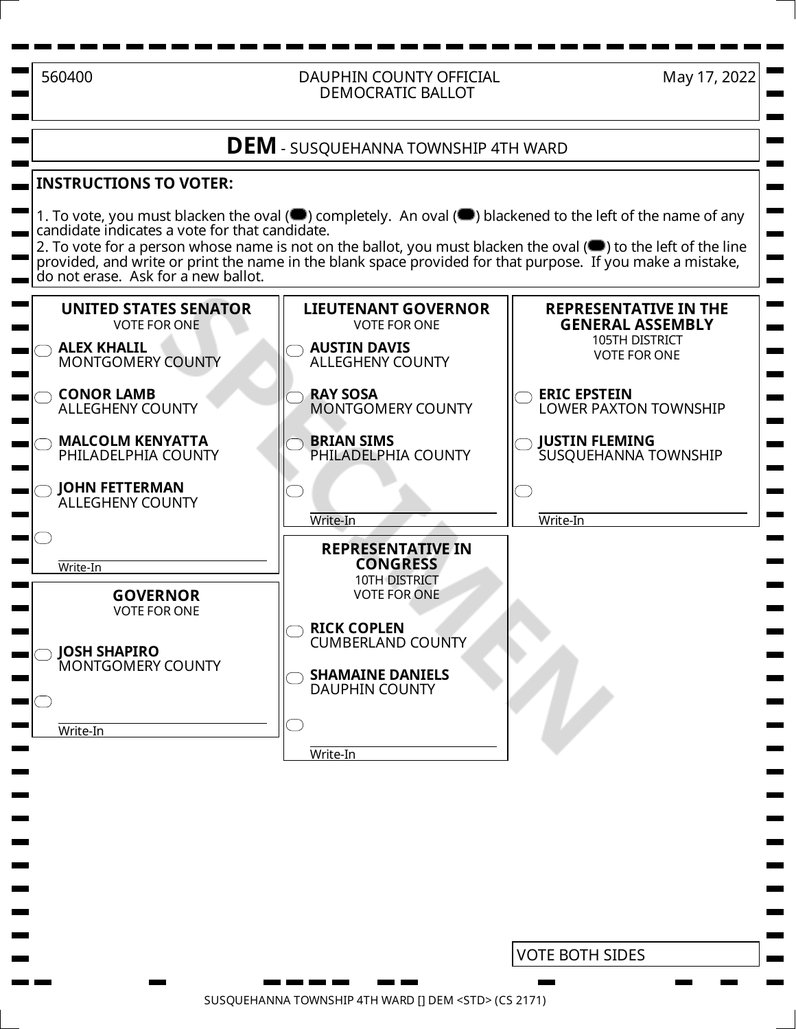## 560400 DAUPHIN COUNTY OFFICIAL DEMOCRATIC BALLOT

## **DEM** - SUSQUEHANNA TOWNSHIP 4TH WARD **INSTRUCTIONS TO VOTER:** 1. To vote, you must blacken the oval ( $\blacksquare$ ) completely. An oval ( $\blacksquare$ ) blackened to the left of the name of any candidate indicates a vote for that candidate. 2. To vote for a person whose name is not on the ballot, you must blacken the oval  $($ **)** to the left of the line provided, and write or print the name in the blank space provided for that purpose. If you make a mistake, do not erase. Ask for a new ballot. **UNITED STATES SENATOR LIEUTENANT GOVERNOR REPRESENTATIVE IN THE** VOTE FOR ONE VOTE FOR ONE **GENERAL ASSEMBLY** 105TH DISTRICT **ALEX KHALIL AUSTIN DAVIS** VOTE FOR ONE MONTGOMERY COUNTY ALLEGHENY COUNTY **CONOR LAMB RAY SOSA ERIC EPSTEIN** ALLEGHENY COUNTY MONTGOMERY COUNTY LOWER PAXTON TOWNSHIP **MALCOLM KENYATTA BRIAN SIMS JUSTIN FLEMING** PHILADELPHIA COUNTY PHILADELPHIA COUNTY SUSQUEHANNA TOWNSHIP **JOHN FETTERMAN** ALLEGHENY COUNTY Write-In Write-In $\bigcirc$ **REPRESENTATIVE IN CONGRESS** Write-In 10TH DISTRICT VOTE FOR ONE **GOVERNOR** VOTE FOR ONE **RICK COPLEN** CUMBERLAND COUNTY **JOSH SHAPIRO** MONTGOMERY COUNTY **SHAMAINE DANIELS** DAUPHIN COUNTY Write-In Write-In

VOTE BOTH SIDES